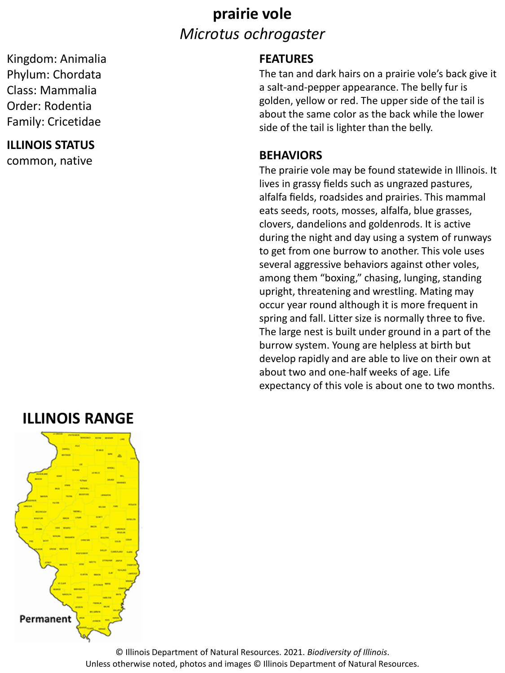### **prairie vole** *Microtus ochrogaster*

Kingdom: Animalia Phylum: Chordata Class: Mammalia Order: Rodentia Family: Cricetidae

#### **ILLINOIS STATUS**

common, native

#### **FEATURES**

The tan and dark hairs on a prairie vole's back give it a salt-and-pepper appearance. The belly fur is golden, yellow or red. The upper side of the tail is about the same color as the back while the lower side of the tail is lighter than the belly.

#### **BEHAVIORS**

The prairie vole may be found statewide in Illinois. It lives in grassy fields such as ungrazed pastures, alfalfa fields, roadsides and prairies. This mammal eats seeds, roots, mosses, alfalfa, blue grasses, clovers, dandelions and goldenrods. It is active during the night and day using a system of runways to get from one burrow to another. This vole uses several aggressive behaviors against other voles, among them "boxing," chasing, lunging, standing upright, threatening and wrestling. Mating may occur year round although it is more frequent in spring and fall. Litter size is normally three to five. The large nest is built under ground in a part of the burrow system. Young are helpless at birth but develop rapidly and are able to live on their own at about two and one-half weeks of age. Life expectancy of this vole is about one to two months.

### **ILLINOIS RANGE**



© Illinois Department of Natural Resources. 2021. *Biodiversity of Illinois*. Unless otherwise noted, photos and images © Illinois Department of Natural Resources.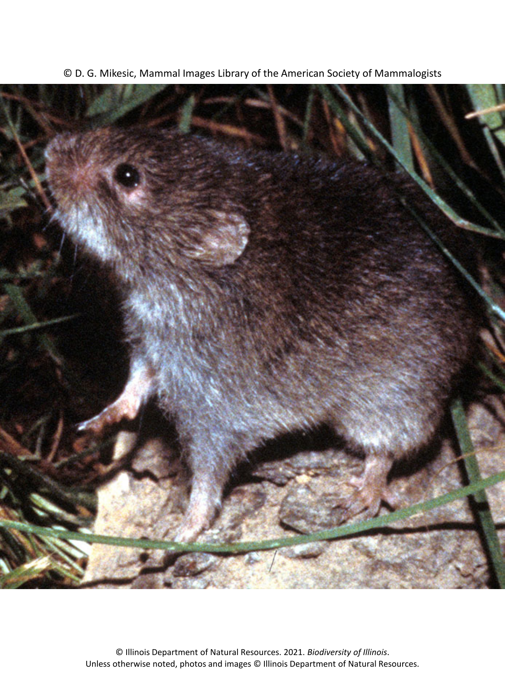

© D. G. Mikesic, Mammal Images Library of the American Society of Mammalogists